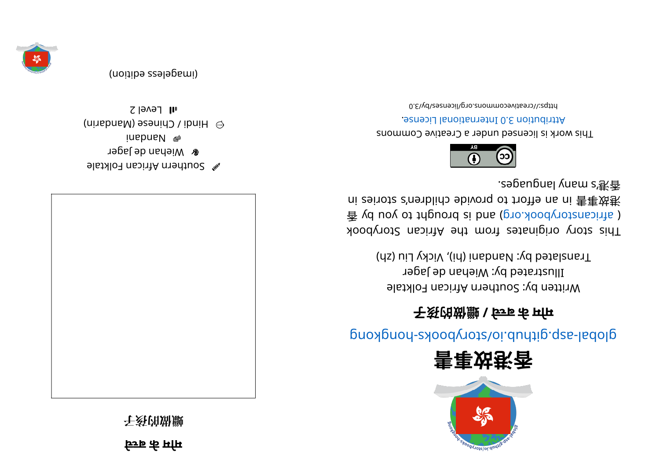**े च बे कमो <sup>म</sup>**

**⼦孩的做蠟**



el suthern African Folktale **r** Wiehan de Jager **i** Nahna Ma  $\omega$  Hindi / Chinese (Mandarin)  $I$ l Level 2







## glops - skoopyr ot synchro synchromagnation synchromagnational above synchromagnations

## **⼦孩的做蠟/े च बे कमो <sup>म</sup>**

Written by: Southern African Folktale Illustrated by: Wiehan de Jager ) hicky Liu Nicky Liu (hi), Vicky Liu (ds)

This story originates from the African Storybook  $\frac{2}{3}$  yd uoy ot triguord si bna (pro. koodynotansints) ni zeinotz c'nenblido ebivonq ot troite na ni 害事效巷 . segaugnal yna ms' 港⾹



This work is licensed under a Creative Commons . esnecial lanoit anternational License.

0. Elvdl aercommons.org/licenses/lyco-0.

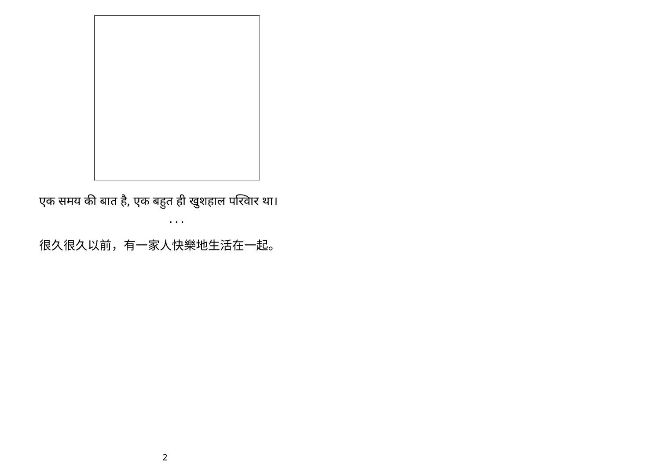

एक समय की बात है, एक बहुत ही खुशहाल परिवार था। • • •

很久很久以前,有一家人快樂地生活在一起。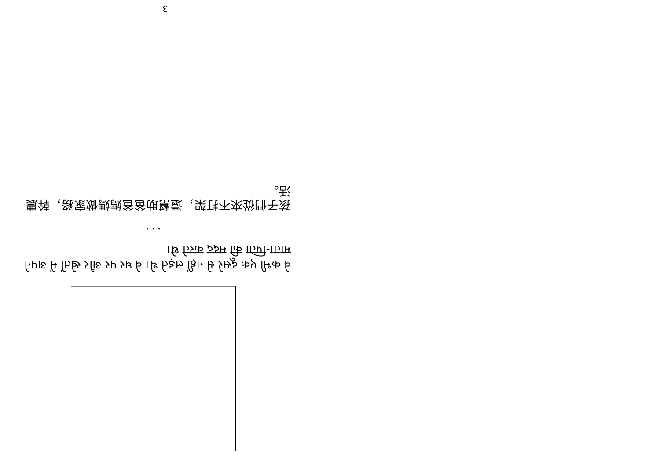हिया के से मिले और पर घे वे पर घे थे थे पर घे वोस्रेश कर पिये । थि क्रिक इञ्चम कि ाज्ञी-ाज्ञाम

• • •

農幹,務家做媽媽爸爸助幫還,架打不來從們⼦孩 。活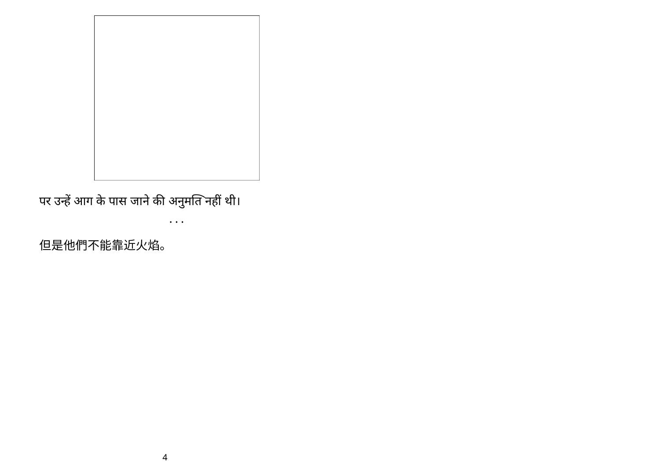

 $\ddotsc$  .

पर उन्हें आग के पास जाने की अनुमति नहीं थी।

但是他們不能靠近火焰。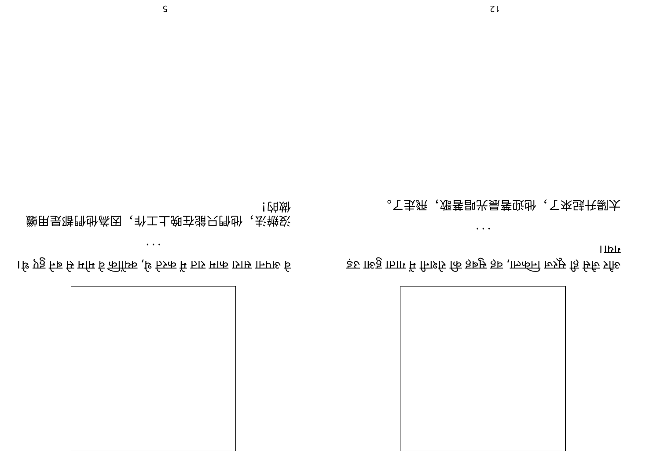

1& एड्ड f-क्र रि मांम र्ट कीॉफ़्रि ,ि 55क में FJS मारु 151ए 1FPI& र्ट

 $\bullet\hspace{0.4mm}\bullet\hspace{0.4mm}\bullet\hspace{0.4mm}\bullet$ 

![油对 

> l TPT उ़हा गरुठ्ठ गठाग में मिश्टि कि ज़रूप ज़रु (गरुक्ति के रोशनी में गाता हुआ उड़

 $\bullet\hspace{0.4mm}\bullet\hspace{0.4mm}\bullet\hspace{0.4mm}\bullet$ 

。下去统, 、漲菩即光昜菩驳卧, 、下來违书剝太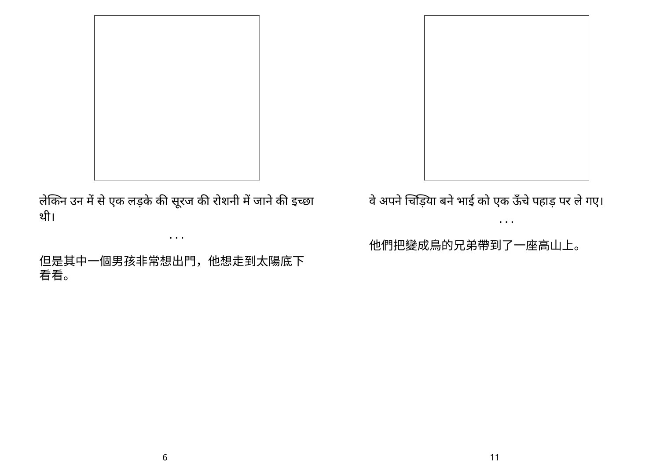लेकिन उन में से एक लड़के की सूरज की रोशनी में जाने की इच्छा थी।

• • •

但是其中一個男孩非常想出門,他想走到太陽底下 看看。

र्वे अपने चिड़िया बने भाई को एक ऊंचे पहाड़ पर ले गए।

• • •

他們把變成鳥的兄弟帶到了一座高山上。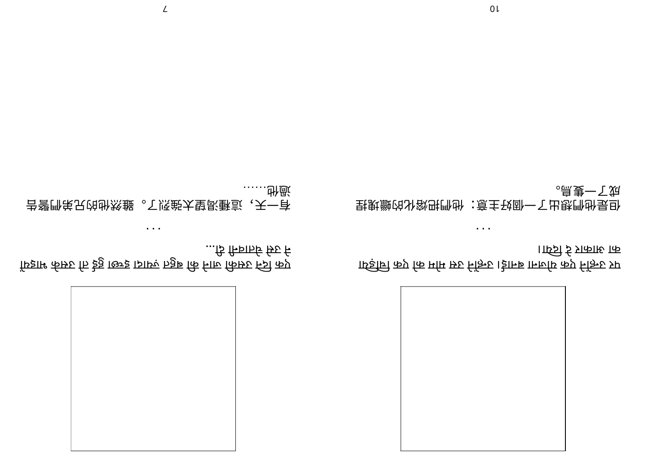

ार्ष्ड्रानि कप्न कि ममि म्रूट निक्ति । ईानब ानार्लाय कप्न निक्ति प्रग ।ार्ष्ट्री ई प्रारूारु कि

捏塊蠟的化熔把們他:意主好個⼀了出想們他是但 。⿃隻⼀了成

• • •

• • • 告警們弟兄的他然雖。了烈強太望渴種這,天⼀有

…ि निर्वाहरि कि $_5$  नि

…… …… ……

फिंडाम की कर कि है है। खिड़ 151एर 5हुई कि नारु किमरु न्ज़ि कप्र

 $\mathcal{L}$